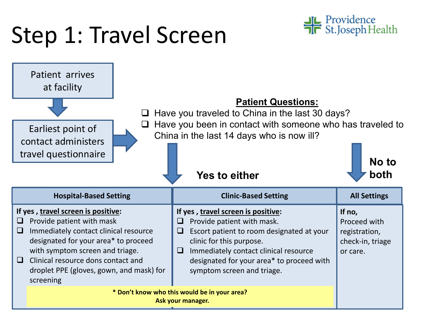## Step 1: Travel Screen